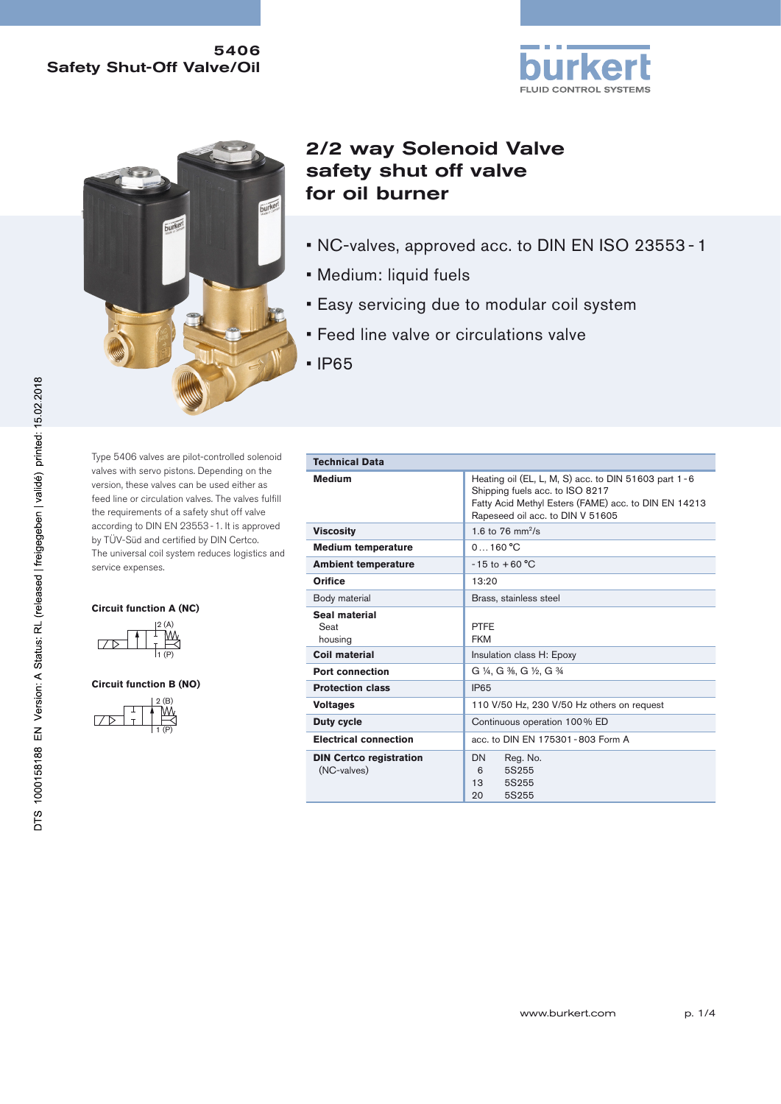## 5406 Safety Shut-Off Valve/Oil





# 2/2 way Solenoid Valve safety shut off valve for oil burner

- NC-valves, approved acc. to DIN EN ISO 23553 1
- Medium: liquid fuels
- Easy servicing due to modular coil system
- Feed line valve or circulations valve
- IP65

Type 5406 valves are pilot-controlled solenoid valves with servo pistons. Depending on the version, these valves can be used either as feed line or circulation valves. The valves fulfill the requirements of a safety shut off valve according to DIN EN 23553-1. It is approved by TÜV-Süd and certified by DIN Certco. The universal coil system reduces logistics and service expenses.

#### **Circuit function A (NC)**



#### **Circuit function B (NO)**



| <b>Technical Data</b>                         |                                                                                                                                                                                         |  |  |  |
|-----------------------------------------------|-----------------------------------------------------------------------------------------------------------------------------------------------------------------------------------------|--|--|--|
| <b>Medium</b>                                 | Heating oil (EL, L, M, S) acc. to DIN 51603 part $1 - 6$<br>Shipping fuels acc. to ISO 8217<br>Fatty Acid Methyl Esters (FAME) acc. to DIN EN 14213<br>Rapeseed oil acc. to DIN V 51605 |  |  |  |
| <b>Viscosity</b>                              | 1.6 to 76 $mm^2/s$                                                                                                                                                                      |  |  |  |
| <b>Medium temperature</b>                     | 0.160 °C                                                                                                                                                                                |  |  |  |
| <b>Ambient temperature</b>                    | $-15$ to $+60$ °C                                                                                                                                                                       |  |  |  |
| Orifice                                       | 13:20                                                                                                                                                                                   |  |  |  |
| Body material                                 | Brass, stainless steel                                                                                                                                                                  |  |  |  |
| Seal material<br>Seat<br>housing              | <b>PTFE</b><br><b>FKM</b>                                                                                                                                                               |  |  |  |
| Coil material                                 | Insulation class H: Epoxy                                                                                                                                                               |  |  |  |
| <b>Port connection</b>                        | G ¼, G %, G ½, G %                                                                                                                                                                      |  |  |  |
| <b>Protection class</b>                       | <b>IP65</b>                                                                                                                                                                             |  |  |  |
| <b>Voltages</b>                               | 110 V/50 Hz, 230 V/50 Hz others on request                                                                                                                                              |  |  |  |
| Duty cycle                                    | Continuous operation 100% ED                                                                                                                                                            |  |  |  |
| <b>Electrical connection</b>                  | acc. to DIN EN 175301-803 Form A                                                                                                                                                        |  |  |  |
| <b>DIN Certco registration</b><br>(NC-valves) | Reg. No.<br>DN<br>5S255<br>6<br>13<br>5S255<br>20<br>5S255                                                                                                                              |  |  |  |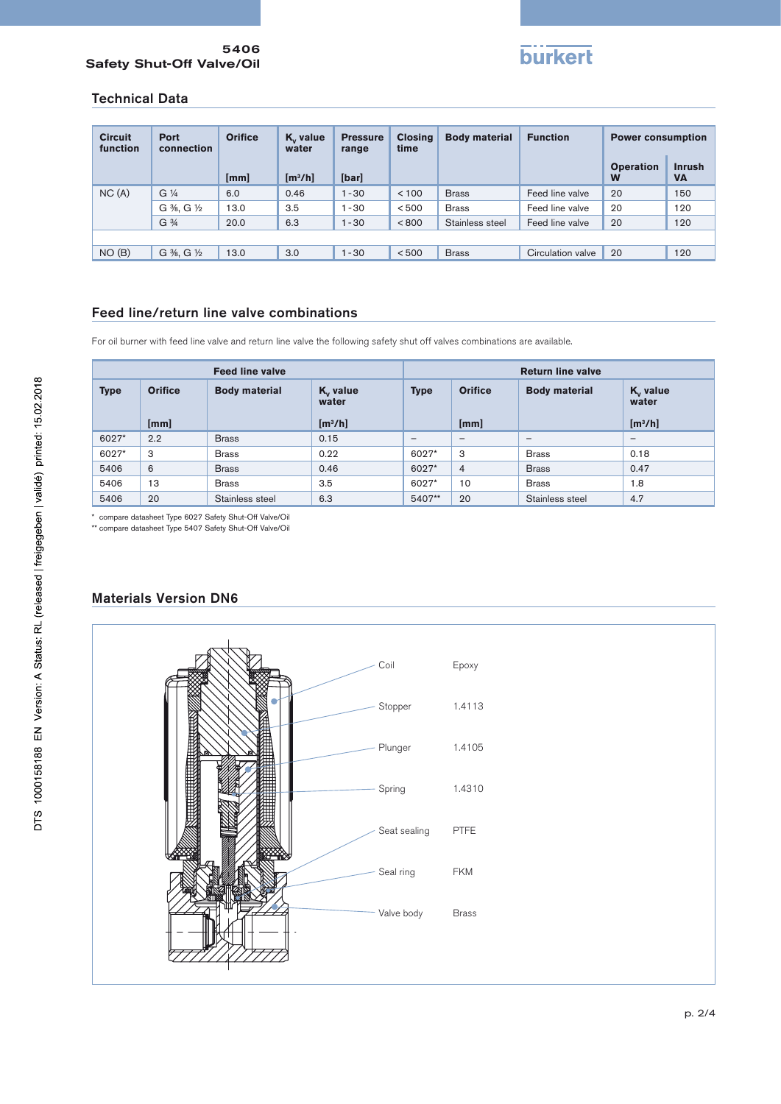#### 5406 Safety Shut-Off Valve/Oil



#### Technical Data

| <b>Circuit</b><br>function | Port<br>connection            | <b>Orifice</b> | K <sub>v</sub> value<br>water | <b>Pressure</b><br>range | <b>Closing</b><br>time | <b>Body material</b> | <b>Function</b>   | <b>Power consumption</b> |                            |
|----------------------------|-------------------------------|----------------|-------------------------------|--------------------------|------------------------|----------------------|-------------------|--------------------------|----------------------------|
|                            |                               | [mm]           | [m <sup>3</sup> /h]           | [bar]                    |                        |                      |                   | <b>Operation</b><br>W    | <b>Inrush</b><br><b>VA</b> |
| NC(A)                      | $G\frac{1}{4}$                | 6.0            | 0.46                          | $1 - 30$                 | < 100                  | <b>Brass</b>         | Feed line valve   | 20                       | 150                        |
|                            | G %, G ½                      | 13.0           | 3.5                           | $1 - 30$                 | < 500                  | <b>Brass</b>         | Feed line valve   | 20                       | 120                        |
|                            | G <sup>3</sup> / <sub>4</sub> | 20.0           | 6.3                           | $1 - 30$                 | < 800                  | Stainless steel      | Feed line valve   | 20                       | 120                        |
|                            |                               |                |                               |                          |                        |                      |                   |                          |                            |
| NO(B)                      | $G\%$ , $G\%$                 | 13.0           | 3.0                           | $1 - 30$                 | < 500                  | <b>Brass</b>         | Circulation valve | 20                       | 120                        |

# Feed line/return line valve combinations

For oil burner with feed line valve and return line valve the following safety shut off valves combinations are available.

| <b>Feed line valve</b> |                        |                      | <b>Return line valve</b>                    |             |                        |                      |                                             |
|------------------------|------------------------|----------------------|---------------------------------------------|-------------|------------------------|----------------------|---------------------------------------------|
| <b>Type</b>            | <b>Orifice</b><br>[mm] | <b>Body material</b> | $K_v$ value<br>water<br>[m <sup>3</sup> /h] | <b>Type</b> | <b>Orifice</b><br>[mm] | <b>Body material</b> | $K_v$ value<br>water<br>[m <sup>3</sup> /h] |
|                        |                        |                      |                                             |             |                        |                      |                                             |
| 6027*                  | 2.2                    | <b>Brass</b>         | 0.15                                        | -           | $\qquad \qquad$        | $\qquad \qquad$      | $\qquad \qquad \blacksquare$                |
| 6027*                  | 3                      | <b>Brass</b>         | 0.22                                        | 6027*       | 3                      | <b>Brass</b>         | 0.18                                        |
| 5406                   | 6                      | <b>Brass</b>         | 0.46                                        | 6027*       | $\overline{4}$         | <b>Brass</b>         | 0.47                                        |
| 5406                   | 13                     | <b>Brass</b>         | 3.5                                         | 6027*       | 10                     | <b>Brass</b>         | 1.8                                         |
| 5406                   | 20                     | Stainless steel      | 6.3                                         | 5407**      | 20                     | Stainless steel      | 4.7                                         |

\* compare datasheet Type 6027 Safety Shut-Off Valve/Oil \*\* compare datasheet Type 5407 Safety Shut-Off Valve/Oil



#### Materials Version DN6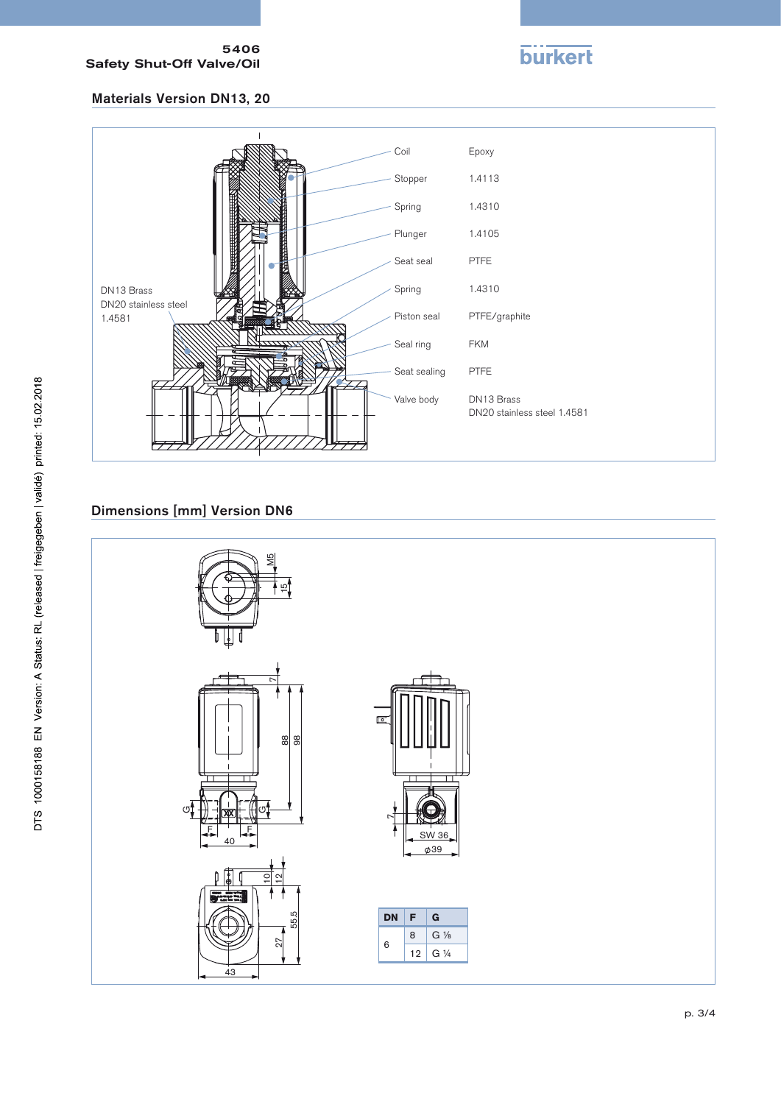#### 5406 Safety Shut-Off Valve/Oil

**burkert** 

# Materials Version DN13, 20



# Dimensions [mm] Version DN6



DTS 1000158188 EN Version: A Status: RL (released | freigegeben | validé) printed: 15.02.2018